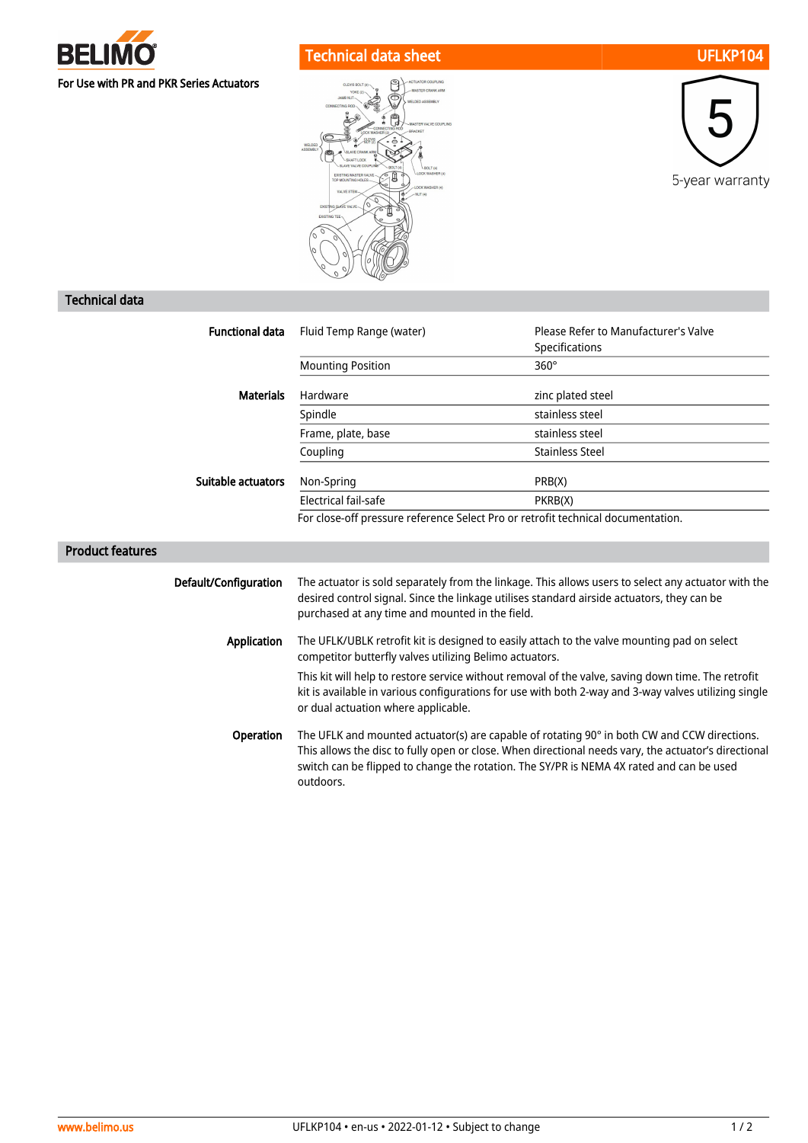

## Technical data sheet UFLKP104





## Technical data

| <b>Functional data</b>  | Fluid Temp Range (water)                                                                                                                                                                                                                                                                        | Please Refer to Manufacturer's Valve |  |
|-------------------------|-------------------------------------------------------------------------------------------------------------------------------------------------------------------------------------------------------------------------------------------------------------------------------------------------|--------------------------------------|--|
|                         |                                                                                                                                                                                                                                                                                                 | Specifications                       |  |
|                         | <b>Mounting Position</b>                                                                                                                                                                                                                                                                        | $360^\circ$                          |  |
| <b>Materials</b>        | Hardware                                                                                                                                                                                                                                                                                        | zinc plated steel                    |  |
|                         | Spindle                                                                                                                                                                                                                                                                                         | stainless steel                      |  |
|                         | Frame, plate, base                                                                                                                                                                                                                                                                              | stainless steel                      |  |
|                         | Coupling                                                                                                                                                                                                                                                                                        | <b>Stainless Steel</b>               |  |
| Suitable actuators      | Non-Spring                                                                                                                                                                                                                                                                                      | PRB(X)                               |  |
|                         | Electrical fail-safe                                                                                                                                                                                                                                                                            | PKRB(X)                              |  |
|                         | For close-off pressure reference Select Pro or retrofit technical documentation.                                                                                                                                                                                                                |                                      |  |
| <b>Product features</b> |                                                                                                                                                                                                                                                                                                 |                                      |  |
|                         |                                                                                                                                                                                                                                                                                                 |                                      |  |
| Default/Configuration   | The actuator is sold separately from the linkage. This allows users to select any actuator with the<br>desired control signal. Since the linkage utilises standard airside actuators, they can be<br>purchased at any time and mounted in the field.                                            |                                      |  |
| <b>Application</b>      | The UFLK/UBLK retrofit kit is designed to easily attach to the valve mounting pad on select<br>competitor butterfly valves utilizing Belimo actuators.                                                                                                                                          |                                      |  |
|                         | This kit will help to restore service without removal of the valve, saving down time. The retrofit<br>kit is available in various configurations for use with both 2-way and 3-way valves utilizing single<br>or dual actuation where applicable.                                               |                                      |  |
| Operation               | The UFLK and mounted actuator(s) are capable of rotating 90° in both CW and CCW directions.<br>This allows the disc to fully open or close. When directional needs vary, the actuator's directional<br>switch can be flipped to change the rotation. The SY/PR is NEMA 4X rated and can be used |                                      |  |

outdoors.